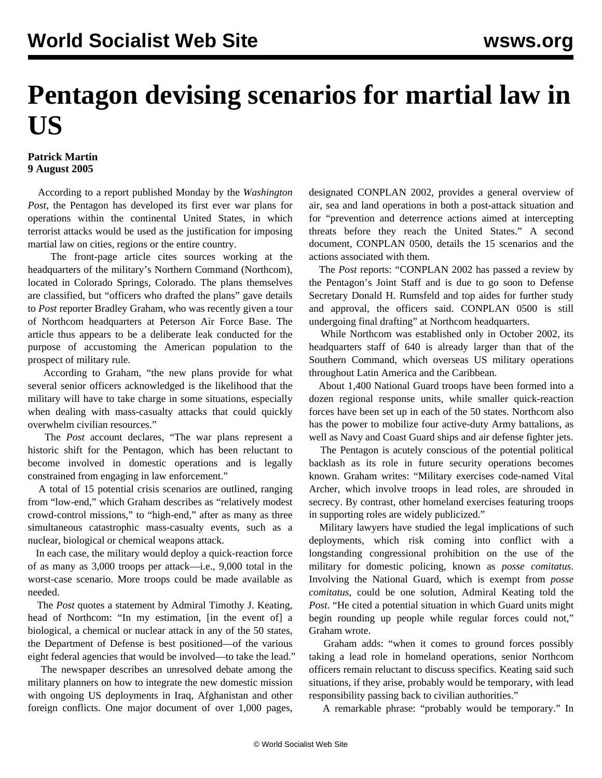## **Pentagon devising scenarios for martial law in US**

## **Patrick Martin 9 August 2005**

 According to a report published Monday by the *Washington Post*, the Pentagon has developed its first ever war plans for operations within the continental United States, in which terrorist attacks would be used as the justification for imposing martial law on cities, regions or the entire country.

 The front-page article cites sources working at the headquarters of the military's Northern Command (Northcom), located in Colorado Springs, Colorado. The plans themselves are classified, but "officers who drafted the plans" gave details to *Post* reporter Bradley Graham, who was recently given a tour of Northcom headquarters at Peterson Air Force Base. The article thus appears to be a deliberate leak conducted for the purpose of accustoming the American population to the prospect of military rule.

 According to Graham, "the new plans provide for what several senior officers acknowledged is the likelihood that the military will have to take charge in some situations, especially when dealing with mass-casualty attacks that could quickly overwhelm civilian resources."

 The *Post* account declares, "The war plans represent a historic shift for the Pentagon, which has been reluctant to become involved in domestic operations and is legally constrained from engaging in law enforcement."

 A total of 15 potential crisis scenarios are outlined, ranging from "low-end," which Graham describes as "relatively modest crowd-control missions," to "high-end," after as many as three simultaneous catastrophic mass-casualty events, such as a nuclear, biological or chemical weapons attack.

 In each case, the military would deploy a quick-reaction force of as many as 3,000 troops per attack—i.e., 9,000 total in the worst-case scenario. More troops could be made available as needed.

 The *Post* quotes a statement by Admiral Timothy J. Keating, head of Northcom: "In my estimation, [in the event of] a biological, a chemical or nuclear attack in any of the 50 states, the Department of Defense is best positioned—of the various eight federal agencies that would be involved—to take the lead."

 The newspaper describes an unresolved debate among the military planners on how to integrate the new domestic mission with ongoing US deployments in Iraq, Afghanistan and other foreign conflicts. One major document of over 1,000 pages, designated CONPLAN 2002, provides a general overview of air, sea and land operations in both a post-attack situation and for "prevention and deterrence actions aimed at intercepting threats before they reach the United States." A second document, CONPLAN 0500, details the 15 scenarios and the actions associated with them.

 The *Post* reports: "CONPLAN 2002 has passed a review by the Pentagon's Joint Staff and is due to go soon to Defense Secretary Donald H. Rumsfeld and top aides for further study and approval, the officers said. CONPLAN 0500 is still undergoing final drafting" at Northcom headquarters.

 While Northcom was established only in October 2002, its headquarters staff of 640 is already larger than that of the Southern Command, which overseas US military operations throughout Latin America and the Caribbean.

 About 1,400 National Guard troops have been formed into a dozen regional response units, while smaller quick-reaction forces have been set up in each of the 50 states. Northcom also has the power to mobilize four active-duty Army battalions, as well as Navy and Coast Guard ships and air defense fighter jets.

 The Pentagon is acutely conscious of the potential political backlash as its role in future security operations becomes known. Graham writes: "Military exercises code-named Vital Archer, which involve troops in lead roles, are shrouded in secrecy. By contrast, other homeland exercises featuring troops in supporting roles are widely publicized."

 Military lawyers have studied the legal implications of such deployments, which risk coming into conflict with a longstanding congressional prohibition on the use of the military for domestic policing, known as *posse comitatus*. Involving the National Guard, which is exempt from *posse comitatus*, could be one solution, Admiral Keating told the *Post*. "He cited a potential situation in which Guard units might begin rounding up people while regular forces could not," Graham wrote.

 Graham adds: "when it comes to ground forces possibly taking a lead role in homeland operations, senior Northcom officers remain reluctant to discuss specifics. Keating said such situations, if they arise, probably would be temporary, with lead responsibility passing back to civilian authorities."

A remarkable phrase: "probably would be temporary." In